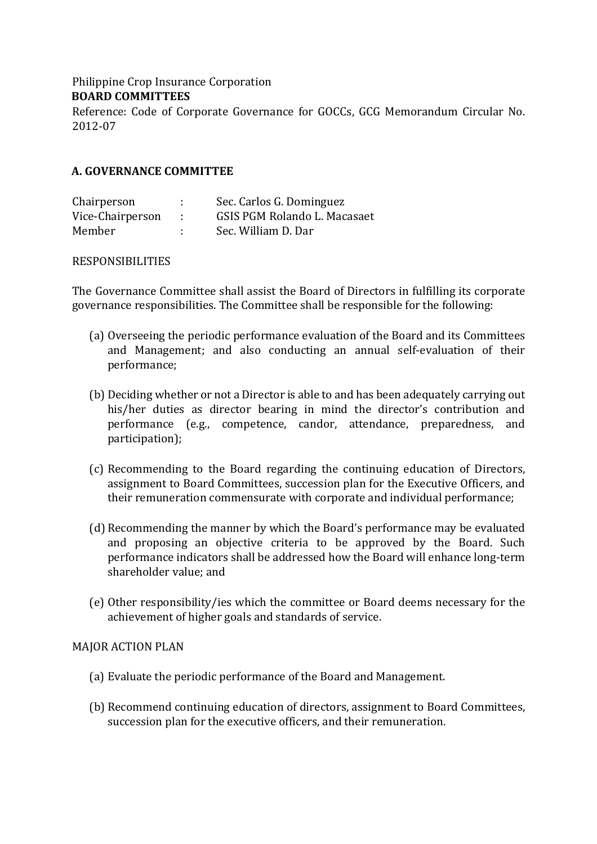Philippine Crop Insurance Corporation **BOARD COMMITTEES** 

Reference: Code of Corporate Governance for GOCCs, GCG Memorandum Circular No. 2012-07 

# **A. GOVERNANCE COMMITTEE**

| Chairperson      |      | Sec. Carlos G. Dominguez     |
|------------------|------|------------------------------|
| Vice-Chairperson | - 11 | GSIS PGM Rolando L. Macasaet |
| Member           |      | Sec. William D. Dar          |

## RESPONSIBILITIES

The Governance Committee shall assist the Board of Directors in fulfilling its corporate governance responsibilities. The Committee shall be responsible for the following:

- (a) Overseeing the periodic performance evaluation of the Board and its Committees and Management; and also conducting an annual self-evaluation of their performance;
- (b) Deciding whether or not a Director is able to and has been adequately carrying out his/her duties as director bearing in mind the director's contribution and performance (e.g., competence, candor, attendance, preparedness, and participation);
- (c) Recommending to the Board regarding the continuing education of Directors, assignment to Board Committees, succession plan for the Executive Officers, and their remuneration commensurate with corporate and individual performance;
- (d) Recommending the manner by which the Board's performance may be evaluated and proposing an objective criteria to be approved by the Board. Such performance indicators shall be addressed how the Board will enhance long-term shareholder value; and
- (e) Other responsibility/ies which the committee or Board deems necessary for the achievement of higher goals and standards of service.

## MAJOR ACTION PLAN

- (a) Evaluate the periodic performance of the Board and Management.
- (b) Recommend continuing education of directors, assignment to Board Committees, succession plan for the executive officers, and their remuneration.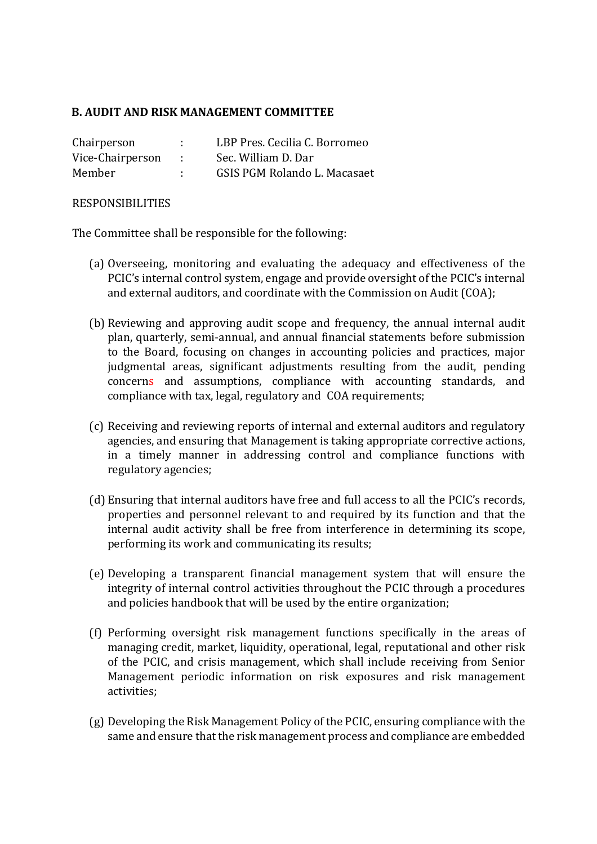# **B. AUDIT AND RISK MANAGEMENT COMMITTEE**

| Chairperson      |                | LBP Pres. Cecilia C. Borromeo |
|------------------|----------------|-------------------------------|
| Vice-Chairperson | <b>COLLECT</b> | Sec. William D. Dar           |
| Member           |                | GSIS PGM Rolando L. Macasaet  |

#### RESPONSIBILITIES

The Committee shall be responsible for the following:

- (a) Overseeing, monitoring and evaluating the adequacy and effectiveness of the PCIC's internal control system, engage and provide oversight of the PCIC's internal and external auditors, and coordinate with the Commission on Audit (COA);
- (b) Reviewing and approving audit scope and frequency, the annual internal audit plan, quarterly, semi-annual, and annual financial statements before submission to the Board, focusing on changes in accounting policies and practices, major judgmental areas, significant adjustments resulting from the audit, pending concerns and assumptions, compliance with accounting standards, and compliance with tax, legal, regulatory and COA requirements;
- (c) Receiving and reviewing reports of internal and external auditors and regulatory agencies, and ensuring that Management is taking appropriate corrective actions, in a timely manner in addressing control and compliance functions with regulatory agencies;
- (d) Ensuring that internal auditors have free and full access to all the PCIC's records, properties and personnel relevant to and required by its function and that the internal audit activity shall be free from interference in determining its scope, performing its work and communicating its results;
- (e) Developing a transparent financial management system that will ensure the integrity of internal control activities throughout the PCIC through a procedures and policies handbook that will be used by the entire organization;
- $(f)$  Performing oversight risk management functions specifically in the areas of managing credit, market, liquidity, operational, legal, reputational and other risk of the PCIC, and crisis management, which shall include receiving from Senior Management periodic information on risk exposures and risk management activities;
- (g) Developing the Risk Management Policy of the PCIC, ensuring compliance with the same and ensure that the risk management process and compliance are embedded